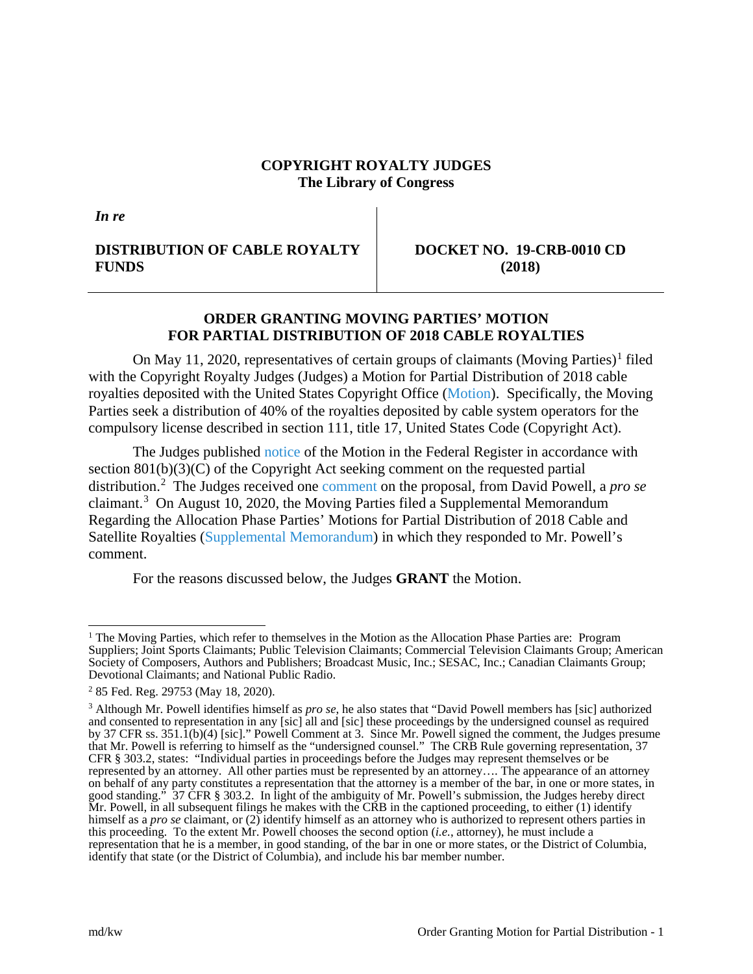### **COPYRIGHT ROYALTY JUDGES The Library of Congress**

*In re*

# **DISTRIBUTION OF CABLE ROYALTY FUNDS**

**DOCKET NO. 19-CRB-0010 CD (2018)**

## **ORDER GRANTING MOVING PARTIES' MOTION FOR PARTIAL DISTRIBUTION OF 2018 CABLE ROYALTIES**

On May [1](#page-0-0)1, 2020, representatives of certain groups of claimants (Moving Parties)<sup>1</sup> filed with the Copyright Royalty Judges (Judges) a Motion for Partial Distribution of 2018 cable royalties deposited with the United States Copyright Office [\(Motion\)](https://app.crb.gov/case/viewDocument/22090). Specifically, the Moving Parties seek a distribution of 40% of the royalties deposited by cable system operators for the compulsory license described in section 111, title 17, United States Code (Copyright Act).

The Judges published [notice](https://app.crb.gov/case/viewDocument/22104) of the Motion in the Federal Register in accordance with section 801(b)(3)(C) of the Copyright Act seeking comment on the requested partial distribution. [2](#page-0-1) The Judges received one [comment](https://app.crb.gov/case/viewDocument/22300) on the proposal, from David Powell, a *pro se* claimant.[3](#page-0-2) On August 10, 2020, the Moving Parties filed a Supplemental Memorandum Regarding the Allocation Phase Parties' Motions for Partial Distribution of 2018 Cable and Satellite Royalties [\(Supplemental Memorandum\)](https://app.crb.gov/case/viewDocument/22534) in which they responded to Mr. Powell's comment.

For the reasons discussed below, the Judges **GRANT** the Motion.

<span id="page-0-0"></span><sup>&</sup>lt;sup>1</sup> The Moving Parties, which refer to themselves in the Motion as the Allocation Phase Parties are: Program Suppliers; Joint Sports Claimants; Public Television Claimants; Commercial Television Claimants Group; American Society of Composers, Authors and Publishers; Broadcast Music, Inc.; SESAC, Inc.; Canadian Claimants Group; Devotional Claimants; and National Public Radio.

<span id="page-0-1"></span><sup>2</sup> 85 Fed. Reg. 29753 (May 18, 2020).

<span id="page-0-2"></span><sup>3</sup> Although Mr. Powell identifies himself as *pro se*, he also states that "David Powell members has [sic] authorized and consented to representation in any [sic] all and [sic] these proceedings by the undersigned counsel as required by 37 CFR ss. 351.1(b)(4) [sic]." Powell Comment at 3. Since Mr. Powell signed the comment, the Judges presume that Mr. Powell is referring to himself as the "undersigned counsel." The CRB Rule governing representation, 37 CFR § 303.2, states: "Individual parties in proceedings before the Judges may represent themselves or be represented by an attorney. All other parties must be represented by an attorney…. The appearance of an attorney on behalf of any party constitutes a representation that the attorney is a member of the bar, in one or more states, in good standing." 37 CFR § 303.2. In light of the ambiguity of Mr. Powell's submission, the Judges hereby direct Mr. Powell, in all subsequent filings he makes with the CRB in the captioned proceeding, to either (1) identify himself as a *pro se* claimant, or (2) identify himself as an attorney who is authorized to represent others parties in this proceeding. To the extent Mr. Powell chooses the second option (*i.e.*, attorney), he must include a representation that he is a member, in good standing, of the bar in one or more states, or the District of Columbia, identify that state (or the District of Columbia), and include his bar member number.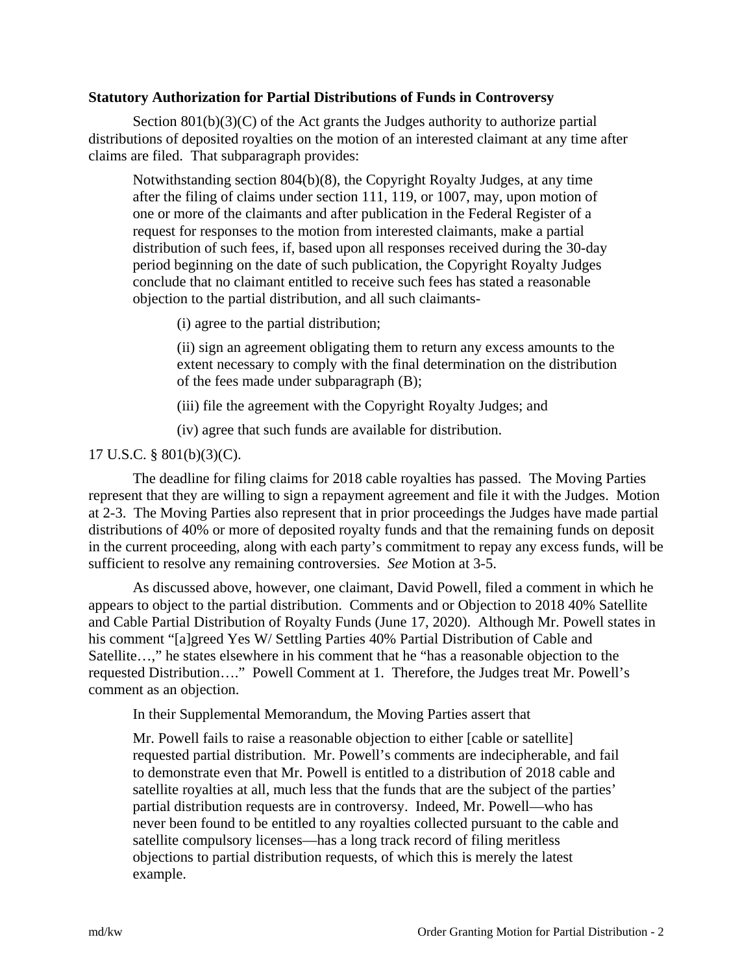### **Statutory Authorization for Partial Distributions of Funds in Controversy**

Section 801(b)(3)(C) of the Act grants the Judges authority to authorize partial distributions of deposited royalties on the motion of an interested claimant at any time after claims are filed. That subparagraph provides:

Notwithstanding section 804(b)(8), the Copyright Royalty Judges, at any time after the filing of claims under section 111, 119, or 1007, may, upon motion of one or more of the claimants and after publication in the Federal Register of a request for responses to the motion from interested claimants, make a partial distribution of such fees, if, based upon all responses received during the 30-day period beginning on the date of such publication, the Copyright Royalty Judges conclude that no claimant entitled to receive such fees has stated a reasonable objection to the partial distribution, and all such claimants-

(i) agree to the partial distribution;

(ii) sign an agreement obligating them to return any excess amounts to the extent necessary to comply with the final determination on the distribution of the fees made under subparagraph (B);

(iii) file the agreement with the Copyright Royalty Judges; and

(iv) agree that such funds are available for distribution.

## 17 U.S.C. § 801(b)(3)(C).

The deadline for filing claims for 2018 cable royalties has passed. The Moving Parties represent that they are willing to sign a repayment agreement and file it with the Judges. Motion at 2-3. The Moving Parties also represent that in prior proceedings the Judges have made partial distributions of 40% or more of deposited royalty funds and that the remaining funds on deposit in the current proceeding, along with each party's commitment to repay any excess funds, will be sufficient to resolve any remaining controversies. *See* Motion at 3-5.

As discussed above, however, one claimant, David Powell, filed a comment in which he appears to object to the partial distribution. Comments and or Objection to 2018 40% Satellite and Cable Partial Distribution of Royalty Funds (June 17, 2020). Although Mr. Powell states in his comment "[a]greed Yes W/ Settling Parties 40% Partial Distribution of Cable and Satellite…," he states elsewhere in his comment that he "has a reasonable objection to the requested Distribution…." Powell Comment at 1. Therefore, the Judges treat Mr. Powell's comment as an objection.

In their Supplemental Memorandum, the Moving Parties assert that

Mr. Powell fails to raise a reasonable objection to either [cable or satellite] requested partial distribution. Mr. Powell's comments are indecipherable, and fail to demonstrate even that Mr. Powell is entitled to a distribution of 2018 cable and satellite royalties at all, much less that the funds that are the subject of the parties' partial distribution requests are in controversy. Indeed, Mr. Powell—who has never been found to be entitled to any royalties collected pursuant to the cable and satellite compulsory licenses—has a long track record of filing meritless objections to partial distribution requests, of which this is merely the latest example.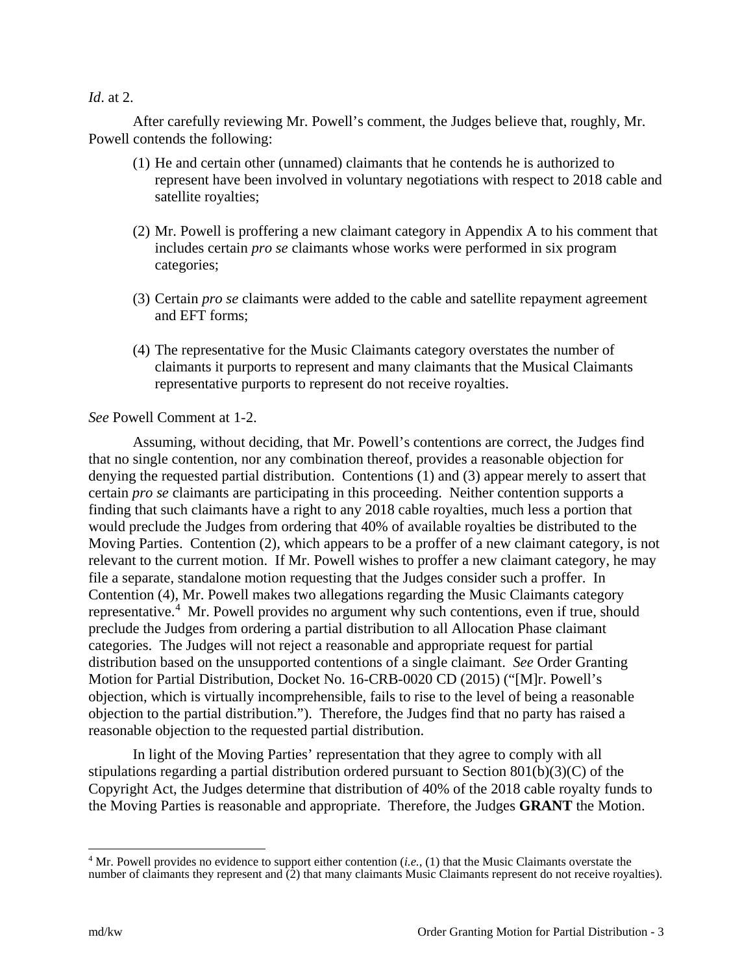#### *Id*. at 2.

After carefully reviewing Mr. Powell's comment, the Judges believe that, roughly, Mr. Powell contends the following:

- (1) He and certain other (unnamed) claimants that he contends he is authorized to represent have been involved in voluntary negotiations with respect to 2018 cable and satellite royalties;
- (2) Mr. Powell is proffering a new claimant category in Appendix A to his comment that includes certain *pro se* claimants whose works were performed in six program categories;
- (3) Certain *pro se* claimants were added to the cable and satellite repayment agreement and EFT forms;
- (4) The representative for the Music Claimants category overstates the number of claimants it purports to represent and many claimants that the Musical Claimants representative purports to represent do not receive royalties.

# *See* Powell Comment at 1-2.

Assuming, without deciding, that Mr. Powell's contentions are correct, the Judges find that no single contention, nor any combination thereof, provides a reasonable objection for denying the requested partial distribution. Contentions (1) and (3) appear merely to assert that certain *pro se* claimants are participating in this proceeding. Neither contention supports a finding that such claimants have a right to any 2018 cable royalties, much less a portion that would preclude the Judges from ordering that 40% of available royalties be distributed to the Moving Parties. Contention (2), which appears to be a proffer of a new claimant category, is not relevant to the current motion. If Mr. Powell wishes to proffer a new claimant category, he may file a separate, standalone motion requesting that the Judges consider such a proffer. In Contention (4), Mr. Powell makes two allegations regarding the Music Claimants category representative.<sup>[4](#page-2-0)</sup> Mr. Powell provides no argument why such contentions, even if true, should preclude the Judges from ordering a partial distribution to all Allocation Phase claimant categories. The Judges will not reject a reasonable and appropriate request for partial distribution based on the unsupported contentions of a single claimant. *See* Order Granting Motion for Partial Distribution, Docket No. 16-CRB-0020 CD (2015) ("[M]r. Powell's objection, which is virtually incomprehensible, fails to rise to the level of being a reasonable objection to the partial distribution."). Therefore, the Judges find that no party has raised a reasonable objection to the requested partial distribution.

In light of the Moving Parties' representation that they agree to comply with all stipulations regarding a partial distribution ordered pursuant to Section 801(b)(3)(C) of the Copyright Act, the Judges determine that distribution of 40% of the 2018 cable royalty funds to the Moving Parties is reasonable and appropriate. Therefore, the Judges **GRANT** the Motion.

<span id="page-2-0"></span> <sup>4</sup> Mr. Powell provides no evidence to support either contention (*i.e.*, (1) that the Music Claimants overstate the number of claimants they represent and  $(2)$  that many claimants Music Claimants represent do not receive royalties).